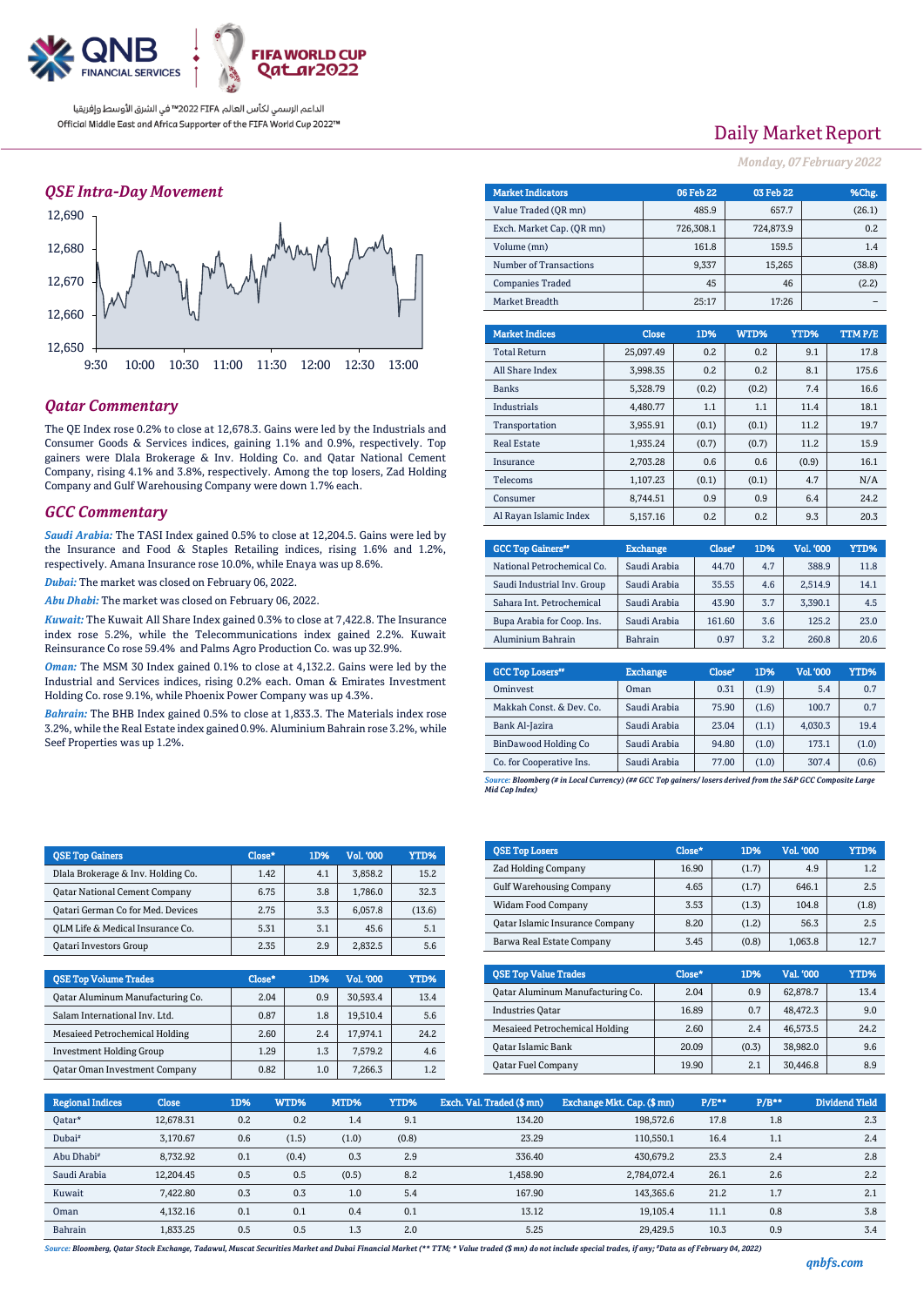

الداعم الرسمي لكأس العالم PIFA™ في الشرق الأوسط وإفريقيا Official Middle East and Africa Supporter of the FIFA World Cup 2022™

## *QSE Intra-Day Movement*



## *Qatar Commentary*

The QE Index rose 0.2% to close at 12,678.3. Gains were led by the Industrials and Consumer Goods & Services indices, gaining 1.1% and 0.9%, respectively. Top gainers were Dlala Brokerage & Inv. Holding Co. and Qatar National Cement Company, rising 4.1% and 3.8%, respectively. Among the top losers, Zad Holding Company and Gulf Warehousing Company were down 1.7% each.

#### *GCC Commentary*

*Saudi Arabia:* The TASI Index gained 0.5% to close at 12,204.5. Gains were led by the Insurance and Food & Staples Retailing indices, rising 1.6% and 1.2%, respectively. Amana Insurance rose 10.0%, while Enaya was up 8.6%.

*Dubai:* The market was closed on February 06, 2022.

*Abu Dhabi:* The market was closed on February 06, 2022.

*Kuwait:* The Kuwait All Share Index gained 0.3% to close at 7,422.8. The Insurance index rose 5.2%, while the Telecommunications index gained 2.2%. Kuwait Reinsurance Co rose 59.4% and Palms Agro Production Co. was up 32.9%.

*Oman:* The MSM 30 Index gained 0.1% to close at 4,132.2. Gains were led by the Industrial and Services indices, rising 0.2% each. Oman & Emirates Investment Holding Co. rose 9.1%, while Phoenix Power Company was up 4.3%.

*Bahrain:* The BHB Index gained 0.5% to close at 1,833.3. The Materials index rose 3.2%, while the Real Estate index gained 0.9%. Aluminium Bahrain rose 3.2%, while Seef Properties was up 1.2%.

| <b>OSE Top Gainers</b>               | Close* | 1D% | Vol. '000 | YTD%   |
|--------------------------------------|--------|-----|-----------|--------|
| Dlala Brokerage & Inv. Holding Co.   | 1.42   | 4.1 | 3,858.2   | 15.2   |
| <b>Qatar National Cement Company</b> | 6.75   | 3.8 | 1.786.0   | 32.3   |
| Qatari German Co for Med. Devices    | 2.75   | 3.3 | 6.057.8   | (13.6) |
| OLM Life & Medical Insurance Co.     | 5.31   | 3.1 | 45.6      | 5.1    |
| <b>Oatari Investors Group</b>        | 2.35   | 2.9 | 2.832.5   | 5.6    |

| <b>QSE Top Volume Trades</b>         | Close* | 1D% | <b>Vol. '000</b> | YTD% |
|--------------------------------------|--------|-----|------------------|------|
| Qatar Aluminum Manufacturing Co.     | 2.04   | 0.9 | 30.593.4         | 13.4 |
| Salam International Inv. Ltd.        | 0.87   | 1.8 | 19,510.4         | 5.6  |
| Mesaieed Petrochemical Holding       | 2.60   | 2.4 | 17.974.1         | 24.2 |
| <b>Investment Holding Group</b>      | 1.29   | 1.3 | 7.579.2          | 4.6  |
| <b>Qatar Oman Investment Company</b> | 0.82   | 1.0 | 7.266.3          | 1.2  |

## Daily Market Report

*Monday, 07February 2022*

| <b>Market Indicators</b>  | 06 Feb 22 | 03 Feb 22 | %Chg.  |
|---------------------------|-----------|-----------|--------|
| Value Traded (OR mn)      | 485.9     | 657.7     | (26.1) |
| Exch. Market Cap. (OR mn) | 726.308.1 | 724.873.9 | 0.2    |
| Volume (mn)               | 161.8     | 159.5     | 1.4    |
| Number of Transactions    | 9,337     | 15,265    | (38.8) |
| <b>Companies Traded</b>   | 45        | 46        | (2.2)  |
| Market Breadth            | 25:17     | 17:26     |        |
|                           |           |           |        |

| <b>Market Indices</b>  | <b>Close</b> | 1D%   | WTD%  | YTD%  | <b>TTMP/E</b> |
|------------------------|--------------|-------|-------|-------|---------------|
| <b>Total Return</b>    | 25.097.49    | 0.2   | 0.2   | 9.1   | 17.8          |
| All Share Index        | 3.998.35     | 0.2   | 0.2   | 8.1   | 175.6         |
| <b>Banks</b>           | 5.328.79     | (0.2) | (0.2) | 7.4   | 16.6          |
| <b>Industrials</b>     | 4.480.77     | 1.1   | 1.1   | 11.4  | 18.1          |
| Transportation         | 3,955.91     | (0.1) | (0.1) | 11.2  | 19.7          |
| <b>Real Estate</b>     | 1.935.24     | (0.7) | (0.7) | 11.2  | 15.9          |
| Insurance              | 2.703.28     | 0.6   | 0.6   | (0.9) | 16.1          |
| <b>Telecoms</b>        | 1.107.23     | (0.1) | (0.1) | 4.7   | N/A           |
| Consumer               | 8.744.51     | 0.9   | 0.9   | 6.4   | 24.2          |
| Al Rayan Islamic Index | 5.157.16     | 0.2   | 0.2   | 9.3   | 20.3          |

| <b>GCC Top Gainers</b> "    | <b>Exchange</b> | Close* | 1D% | Vol. '000 | YTD% |
|-----------------------------|-----------------|--------|-----|-----------|------|
| National Petrochemical Co.  | Saudi Arabia    | 44.70  | 4.7 | 388.9     | 11.8 |
| Saudi Industrial Inv. Group | Saudi Arabia    | 35.55  | 4.6 | 2,514.9   | 14.1 |
| Sahara Int. Petrochemical   | Saudi Arabia    | 43.90  | 3.7 | 3.390.1   | 4.5  |
| Bupa Arabia for Coop. Ins.  | Saudi Arabia    | 161.60 | 3.6 | 125.2     | 23.0 |
| Aluminium Bahrain           | <b>Bahrain</b>  | 0.97   | 3.2 | 260.8     | 20.6 |

| <b>GCC Top Losers</b> "  | <b>Exchange</b> | Close <sup>®</sup> | 1D%   | Vol. '000 | YTD%  |
|--------------------------|-----------------|--------------------|-------|-----------|-------|
| Ominyest                 | Oman            | 0.31               | (1.9) | 5.4       | 0.7   |
| Makkah Const. & Dev. Co. | Saudi Arabia    | 75.90              | (1.6) | 100.7     | 0.7   |
| Bank Al-Jazira           | Saudi Arabia    | 23.04              | (1.1) | 4.030.3   | 19.4  |
| BinDawood Holding Co     | Saudi Arabia    | 94.80              | (1.0) | 173.1     | (1.0) |
| Co. for Cooperative Ins. | Saudi Arabia    | 77.00              | (1.0) | 307.4     | (0.6) |

*Source: Bloomberg (# in Local Currency) (## GCC Top gainers/ losers derived from the S&P GCC Composite Large Mid Cap Index)*

| <b>QSE Top Losers</b>                  | Close* | 1D%   | <b>Vol. '000</b> | <b>YTD%</b> |
|----------------------------------------|--------|-------|------------------|-------------|
| Zad Holding Company                    | 16.90  | (1.7) | 4.9              | 1.2         |
| <b>Gulf Warehousing Company</b>        | 4.65   | (1.7) | 646.1            | 2.5         |
| <b>Widam Food Company</b>              | 3.53   | (1.3) | 104.8            | (1.8)       |
| <b>Qatar Islamic Insurance Company</b> | 8.20   | (1.2) | 56.3             | 2.5         |
| Barwa Real Estate Company              | 3.45   | (0.8) | 1,063.8          | 12.7        |

| <b>OSE Top Value Trades</b>      | Close* | 1D%   | Val. '000 | YTD% |
|----------------------------------|--------|-------|-----------|------|
| Oatar Aluminum Manufacturing Co. | 2.04   | 0.9   | 62,878.7  | 13.4 |
| <b>Industries Oatar</b>          | 16.89  | 0.7   | 48.472.3  | 9.0  |
| Mesaieed Petrochemical Holding   | 2.60   | 2.4   | 46.573.5  | 24.2 |
| <b>Qatar Islamic Bank</b>        | 20.09  | (0.3) | 38.982.0  | 9.6  |
| <b>Qatar Fuel Company</b>        | 19.90  | 2.1   | 30,446.8  | 8.9  |

| <b>Regional Indices</b> | <b>Close</b> | 1D% | WTD%  | MTD%  | YTD%  | Exch. Val. Traded (\$ mn) | Exchange Mkt. Cap. (\$ mn) | $P/E**$ | $P/B**$ | Dividend Yield |
|-------------------------|--------------|-----|-------|-------|-------|---------------------------|----------------------------|---------|---------|----------------|
| Qatar*                  | 12.678.31    | 0.2 | 0.2   | 1.4   | 9.1   | 134.20                    | 198,572.6                  | 17.8    | 1.8     | 2.3            |
| Dubai <sup>#</sup>      | 3.170.67     | 0.6 | (1.5) | (1.0) | (0.8) | 23.29                     | 110.550.1                  | 16.4    | 1.1     | 2.4            |
| Abu Dhabi <sup>#</sup>  | 8,732.92     | 0.1 | (0.4) | 0.3   | 2.9   | 336.40                    | 430.679.2                  | 23.3    | 2.4     | 2.8            |
| Saudi Arabia            | 12,204.45    | 0.5 | 0.5   | (0.5) | 8.2   | 1.458.90                  | 2,784,072.4                | 26.1    | 2.6     | 2.2            |
| Kuwait                  | 7.422.80     | 0.3 | 0.3   | 1.0   | 5.4   | 167.90                    | 143.365.6                  | 21.2    | 1.7     | 2.1            |
| Oman                    | 4.132.16     | 0.1 | 0.1   | 0.4   | 0.1   | 13.12                     | 19.105.4                   | 11.1    | 0.8     | 3.8            |
| Bahrain                 | 1.833.25     | 0.5 | 0.5   | 1.3   | 2.0   | 5.25                      | 29,429.5                   | 10.3    | 0.9     | 3.4            |

*Source: Bloomberg, Qatar Stock Exchange, Tadawul, Muscat Securities Market and Dubai Financial Market (\*\* TTM; \* Value traded (\$ mn) do not include special trades, if any; #Data as of February 04, 2022)*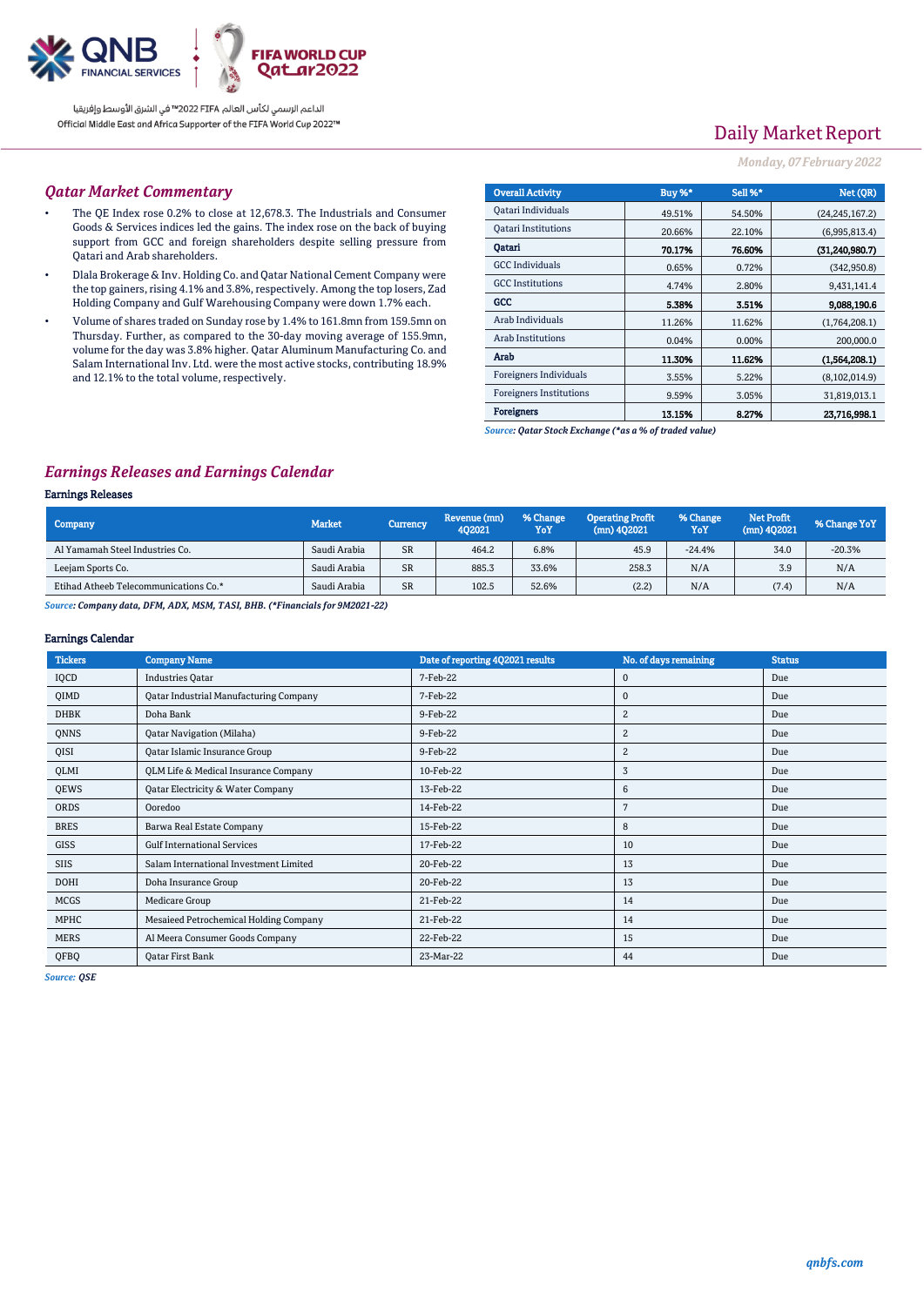

الداعم الرسمي لكأس العالم PIFA™ في الشرق الأوسط وإفريقيا Official Middle East and Africa Supporter of the FIFA World Cup 2022™

# Daily Market Report

#### *Monday, 07February 2022*

### *Qatar Market Commentary*

- The QE Index rose 0.2% to close at 12,678.3. The Industrials and Consumer Goods & Services indices led the gains. The index rose on the back of buying support from GCC and foreign shareholders despite selling pressure from Qatari and Arab shareholders.
- Dlala Brokerage & Inv. Holding Co. and Qatar National Cement Company were the top gainers, rising 4.1% and 3.8%, respectively. Among the top losers, Zad Holding Company and Gulf Warehousing Company were down 1.7% each.
- Volume of shares traded on Sunday rose by 1.4% to 161.8mn from 159.5mn on Thursday. Further, as compared to the 30-day moving average of 155.9mn, volume for the day was 3.8% higher. Qatar Aluminum Manufacturing Co. and Salam International Inv. Ltd. were the most active stocks, contributing 18.9% and 12.1% to the total volume, respectively.

| <b>Overall Activity</b>        | Buy %* | Sell %* | Net (QR)         |
|--------------------------------|--------|---------|------------------|
| Qatari Individuals             | 49.51% | 54.50%  | (24, 245, 167.2) |
| <b>Oatari Institutions</b>     | 20.66% | 22.10%  | (6,995,813.4)    |
| Oatari                         | 70.17% | 76.60%  | (31,240,980.7)   |
| <b>GCC</b> Individuals         | 0.65%  | 0.72%   | (342, 950.8)     |
| <b>GCC</b> Institutions        | 4.74%  | 2.80%   | 9,431,141.4      |
| GCC                            | 5.38%  | 3.51%   | 9,088,190.6      |
| Arab Individuals               | 11.26% | 11.62%  | (1,764,208.1)    |
| Arab Institutions              | 0.04%  | 0.00%   | 200,000.0        |
| Arab                           | 11.30% | 11.62%  | (1.564.208.1)    |
| <b>Foreigners Individuals</b>  | 3.55%  | 5.22%   | (8, 102, 014.9)  |
| <b>Foreigners Institutions</b> | 9.59%  | 3.05%   | 31,819,013.1     |
| <b>Foreigners</b>              | 13.15% | 8.27%   | 23.716.998.1     |

*Source: Qatar Stock Exchange (\*as a % of traded value)*

### *Earnings Releases and Earnings Calendar*

#### Earnings Releases

| Company                               | <b>Market</b> | Currency  | Revenue (mn)<br>402021 | % Change<br>YoY | <b>Operating Profit</b><br>$(mn)$ 402021 | % Change<br>YoY | <b>Net Profit</b><br>(mn) 402021 | % Change YoY |
|---------------------------------------|---------------|-----------|------------------------|-----------------|------------------------------------------|-----------------|----------------------------------|--------------|
| Al Yamamah Steel Industries Co.       | Saudi Arabia  | <b>SR</b> | 464.2                  | 6.8%            | 45.9                                     | $-24.4%$        | 34.0                             | $-20.3%$     |
| Leejam Sports Co.                     | Saudi Arabia  | <b>SR</b> | 885.3                  | 33.6%           | 258.3                                    | N/A             | 3.9                              | N/A          |
| Etihad Atheeb Telecommunications Co.* | Saudi Arabia  | <b>SR</b> | 102.5                  | 52.6%           | (2.2)                                    | N/A             | (7.4)                            | N/A          |

*Source: Company data, DFM, ADX, MSM, TASI, BHB. (\*Financials for 9M2021-22)*

#### Earnings Calendar

| <b>Tickers</b> | <b>Company Name</b>                           | Date of reporting 4Q2021 results | No. of days remaining | <b>Status</b> |
|----------------|-----------------------------------------------|----------------------------------|-----------------------|---------------|
| IQCD           | <b>Industries Oatar</b>                       | 7-Feb-22                         | 0                     | Due           |
| QIMD           | <b>Qatar Industrial Manufacturing Company</b> | 7-Feb-22                         | $\mathbf 0$           | Due           |
| <b>DHBK</b>    | Doha Bank                                     | 9-Feb-22                         | $\overline{c}$        | Due           |
| QNNS           | <b>Qatar Navigation (Milaha)</b>              | 9-Feb-22                         | 2                     | Due           |
| QISI           | Qatar Islamic Insurance Group                 | 9-Feb-22                         | $\overline{2}$        | Due           |
| QLMI           | QLM Life & Medical Insurance Company          | 10-Feb-22                        | 3                     | Due           |
| QEWS           | Qatar Electricity & Water Company             | 13-Feb-22                        | 6                     | Due           |
| ORDS           | Ooredoo                                       | 14-Feb-22                        | 7                     | Due           |
| <b>BRES</b>    | Barwa Real Estate Company                     | 15-Feb-22                        | 8                     | Due           |
| <b>GISS</b>    | <b>Gulf International Services</b>            | 17-Feb-22                        | 10                    | Due           |
| <b>SIIS</b>    | Salam International Investment Limited        | 20-Feb-22                        | 13                    | Due           |
| <b>DOHI</b>    | Doha Insurance Group                          | 20-Feb-22                        | 13                    | Due           |
| <b>MCGS</b>    | Medicare Group                                | 21-Feb-22                        | 14                    | Due           |
| MPHC           | Mesaieed Petrochemical Holding Company        | 21-Feb-22                        | 14                    | Due           |
| <b>MERS</b>    | Al Meera Consumer Goods Company               | 22-Feb-22                        | 15                    | Due           |
| QFBQ           | Oatar First Bank                              | 23-Mar-22                        | 44                    | Due           |

*Source: QSE*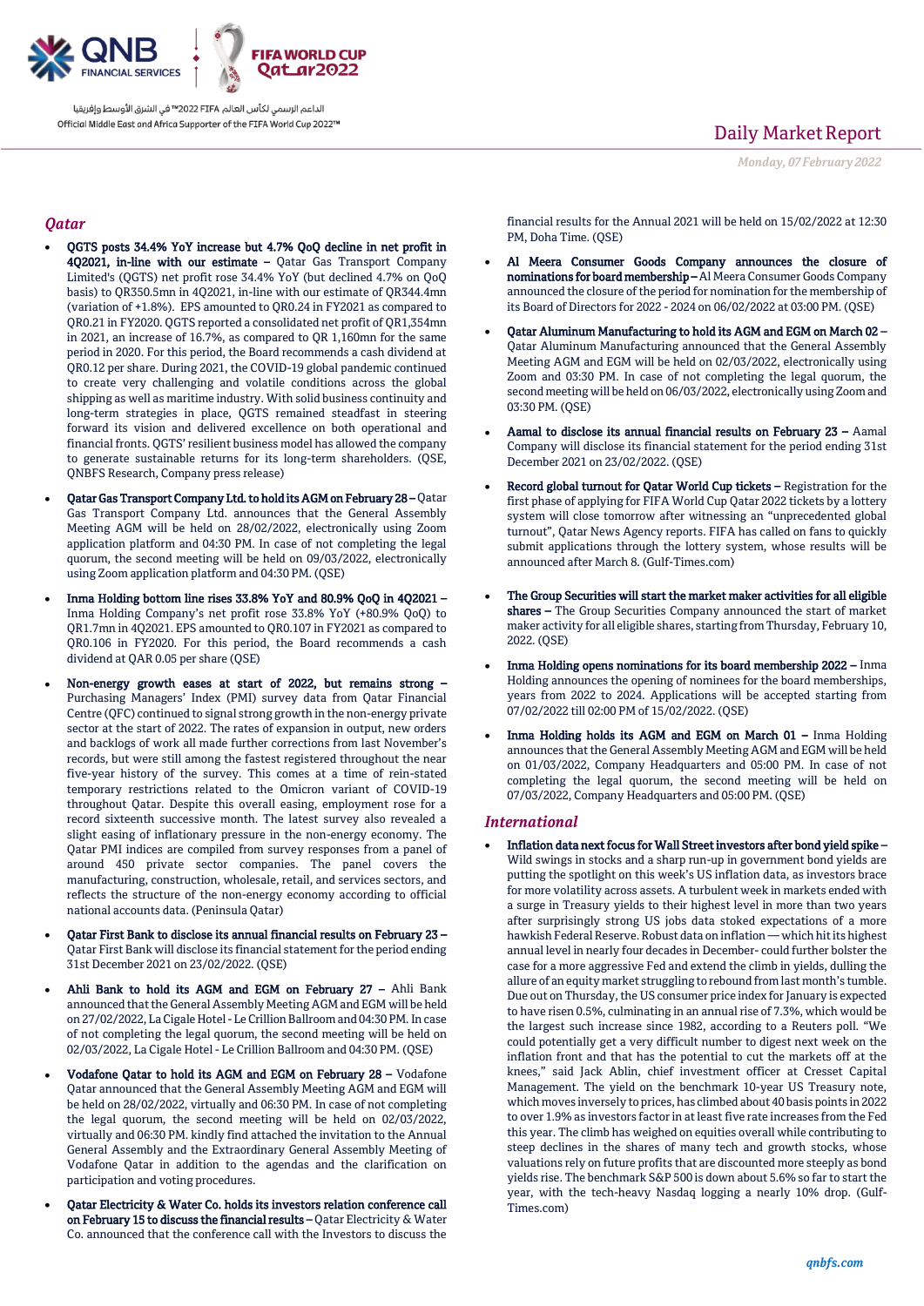

الداعم الرسمي لكأس العالم PIFA≤™ في الشرق الأوسط وإفريقيا Official Middle East and Africa Supporter of the FIFA World Cup 2022™

## Daily Market Report

*Monday, 07February 2022*

## *Qatar*

- QGTS posts 34.4% YoY increase but 4.7% QoQ decline in net profit in 4Q2021, in-line with our estimate – Qatar Gas Transport Company Limited's (QGTS) net profit rose 34.4% YoY (but declined 4.7% on QoQ basis) to QR350.5mn in 4Q2021, in-line with our estimate of QR344.4mn (variation of +1.8%). EPS amounted to QR0.24 in FY2021 as compared to QR0.21 in FY2020. QGTS reported a consolidated net profit of QR1,354mn in 2021, an increase of 16.7%, as compared to QR 1,160mn for the same period in 2020. For this period, the Board recommends a cash dividend at QR0.12 per share. During 2021, the COVID-19 global pandemic continued to create very challenging and volatile conditions across the global shipping as well as maritime industry. With solid business continuity and long-term strategies in place, QGTS remained steadfast in steering forward its vision and delivered excellence on both operational and financial fronts. QGTS' resilient business model has allowed the company to generate sustainable returns for its long-term shareholders. (QSE, QNBFS Research, Company press release)
- Qatar Gas Transport Company Ltd. to hold its AGM on February 28 Qatar Gas Transport Company Ltd. announces that the General Assembly Meeting AGM will be held on 28/02/2022, electronically using Zoom application platform and 04:30 PM. In case of not completing the legal quorum, the second meeting will be held on 09/03/2022, electronically using Zoom application platform and 04:30 PM. (QSE)
- Inma Holding bottom line rises 33.8% YoY and 80.9% QoQ in 4Q2021 Inma Holding Company's net profit rose 33.8% YoY (+80.9% QoQ) to QR1.7mn in 4Q2021. EPS amounted to QR0.107 in FY2021 as compared to QR0.106 in FY2020. For this period, the Board recommends a cash dividend at QAR 0.05 per share (QSE)
- Non-energy growth eases at start of 2022, but remains strong Purchasing Managers' Index (PMI) survey data from Qatar Financial Centre (QFC) continued to signal strong growth in the non-energy private sector at the start of 2022. The rates of expansion in output, new orders and backlogs of work all made further corrections from last November's records, but were still among the fastest registered throughout the near five-year history of the survey. This comes at a time of rein-stated temporary restrictions related to the Omicron variant of COVID-19 throughout Qatar. Despite this overall easing, employment rose for a record sixteenth successive month. The latest survey also revealed a slight easing of inflationary pressure in the non-energy economy. The Qatar PMI indices are compiled from survey responses from a panel of around 450 private sector companies. The panel covers the manufacturing, construction, wholesale, retail, and services sectors, and reflects the structure of the non-energy economy according to official national accounts data. (Peninsula Qatar)
- Qatar First Bank to disclose its annual financial results on February 23 Qatar First Bank will disclose its financial statement for the period ending 31st December 2021 on 23/02/2022. (QSE)
- Ahli Bank to hold its AGM and EGM on February 27 Ahli Bank announced that the General Assembly Meeting AGM and EGM will be held on 27/02/2022, La Cigale Hotel - Le Crillion Ballroom and 04:30 PM. In case of not completing the legal quorum, the second meeting will be held on 02/03/2022, La Cigale Hotel - Le Crillion Ballroom and 04:30 PM. (QSE)
- Vodafone Qatar to hold its AGM and EGM on February 28 Vodafone Qatar announced that the General Assembly Meeting AGM and EGM will be held on 28/02/2022, virtually and 06:30 PM. In case of not completing the legal quorum, the second meeting will be held on 02/03/2022, virtually and 06:30 PM. kindly find attached the invitation to the Annual General Assembly and the Extraordinary General Assembly Meeting of Vodafone Qatar in addition to the agendas and the clarification on participation and voting procedures.
- Qatar Electricity & Water Co. holds its investors relation conference call on February 15 to discuss the financial results – Qatar Electricity & Water Co. announced that the conference call with the Investors to discuss the

financial results for the Annual 2021 will be held on 15/02/2022 at 12:30 PM, Doha Time. (QSE)

- Al Meera Consumer Goods Company announces the closure of nominations for board membership – Al Meera Consumer Goods Company announced the closure of the period for nomination for the membership of its Board of Directors for 2022 - 2024 on 06/02/2022 at 03:00 PM. (QSE)
- Qatar Aluminum Manufacturing to hold its AGM and EGM on March 02 Qatar Aluminum Manufacturing announced that the General Assembly Meeting AGM and EGM will be held on 02/03/2022, electronically using Zoom and 03:30 PM. In case of not completing the legal quorum, the second meeting will be held on 06/03/2022, electronically using Zoom and 03:30 PM. (QSE)
- Aamal to disclose its annual financial results on February 23 Aamal Company will disclose its financial statement for the period ending 31st December 2021 on 23/02/2022. (QSE)
- Record global turnout for Qatar World Cup tickets Registration for the first phase of applying for FIFA World Cup Qatar 2022 tickets by a lottery system will close tomorrow after witnessing an "unprecedented global turnout", Qatar News Agency reports. FIFA has called on fans to quickly submit applications through the lottery system, whose results will be announced after March 8. (Gulf-Times.com)
- The Group Securities will start the market maker activities for all eligible shares - The Group Securities Company announced the start of market maker activity for all eligible shares, starting from Thursday, February 10, 2022. (QSE)
- Inma Holding opens nominations for its board membership 2022 Inma Holding announces the opening of nominees for the board memberships, years from 2022 to 2024. Applications will be accepted starting from 07/02/2022 till 02:00 PM of 15/02/2022. (QSE)
- Inma Holding holds its AGM and EGM on March 01 Inma Holding announces that the General Assembly Meeting AGM and EGM will be held on 01/03/2022, Company Headquarters and 05:00 PM. In case of not completing the legal quorum, the second meeting will be held on 07/03/2022, Company Headquarters and 05:00 PM. (QSE)

#### *International*

 Inflation data next focus for Wall Street investors after bond yield spike – Wild swings in stocks and a sharp run-up in government bond yields are putting the spotlight on this week's US inflation data, as investors brace for more volatility across assets. A turbulent week in markets ended with a surge in Treasury yields to their highest level in more than two years after surprisingly strong US jobs data stoked expectations of a more hawkish Federal Reserve. Robust data on inflation —which hit its highest annual level in nearly four decades in December- could further bolster the case for a more aggressive Fed and extend the climb in yields, dulling the allure of an equity market struggling to rebound from last month's tumble. Due out on Thursday, the US consumer price index for January is expected to have risen 0.5%, culminating in an annual rise of 7.3%, which would be the largest such increase since 1982, according to a Reuters poll. "We could potentially get a very difficult number to digest next week on the inflation front and that has the potential to cut the markets off at the knees," said Jack Ablin, chief investment officer at Cresset Capital Management. The yield on the benchmark 10-year US Treasury note, which moves inversely to prices, has climbed about 40 basis points in 2022 to over 1.9% as investors factor in at least five rate increases from the Fed this year. The climb has weighed on equities overall while contributing to steep declines in the shares of many tech and growth stocks, whose valuations rely on future profits that are discounted more steeply as bond yields rise. The benchmark S&P 500 is down about 5.6% so far to start the year, with the tech-heavy Nasdaq logging a nearly 10% drop. (Gulf-Times.com)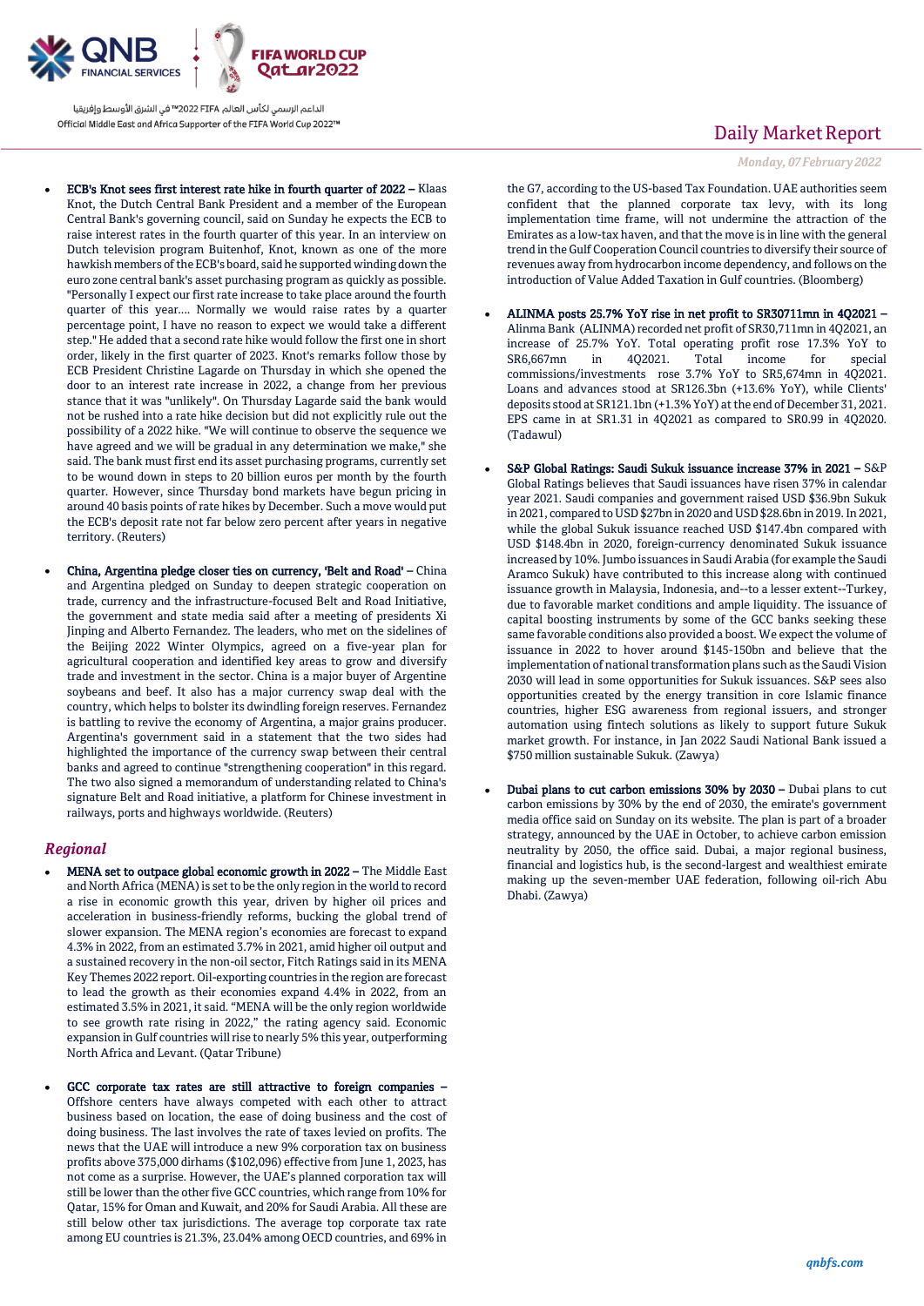

الداعم الرسمي لكأس العالم PIFA≤™ في الشرق الأوسط وإفريقيا Official Middle East and Africa Supporter of the FIFA World Cup 2022™

- ECB's Knot sees first interest rate hike in fourth quarter of 2022 Klaas Knot, the Dutch Central Bank President and a member of the European Central Bank's governing council, said on Sunday he expects the ECB to raise interest rates in the fourth quarter of this year. In an interview on Dutch television program Buitenhof, Knot, known as one of the more hawkish members of the ECB's board, said he supported winding down the euro zone central bank's asset purchasing program as quickly as possible. "Personally I expect our first rate increase to take place around the fourth quarter of this year.... Normally we would raise rates by a quarter percentage point, I have no reason to expect we would take a different step." He added that a second rate hike would follow the first one in short order, likely in the first quarter of 2023. Knot's remarks follow those by ECB President Christine Lagarde on Thursday in which she opened the door to an interest rate increase in 2022, a change from her previous stance that it was "unlikely". On Thursday Lagarde said the bank would not be rushed into a rate hike decision but did not explicitly rule out the possibility of a 2022 hike. "We will continue to observe the sequence we have agreed and we will be gradual in any determination we make," she said. The bank must first end its asset purchasing programs, currently set to be wound down in steps to 20 billion euros per month by the fourth quarter. However, since Thursday bond markets have begun pricing in around 40 basis points of rate hikes by December. Such a move would put the ECB's deposit rate not far below zero percent after years in negative territory. (Reuters)
- China, Argentina pledge closer ties on currency, 'Belt and Road' China and Argentina pledged on Sunday to deepen strategic cooperation on trade, currency and the infrastructure-focused Belt and Road Initiative, the government and state media said after a meeting of presidents Xi Jinping and Alberto Fernandez. The leaders, who met on the sidelines of the Beijing 2022 Winter Olympics, agreed on a five-year plan for agricultural cooperation and identified key areas to grow and diversify trade and investment in the sector. China is a major buyer of Argentine soybeans and beef. It also has a major currency swap deal with the country, which helps to bolster its dwindling foreign reserves. Fernandez is battling to revive the economy of Argentina, a major grains producer. Argentina's government said in a statement that the two sides had highlighted the importance of the currency swap between their central banks and agreed to continue "strengthening cooperation" in this regard. The two also signed a memorandum of understanding related to China's signature Belt and Road initiative, a platform for Chinese investment in railways, ports and highways worldwide. (Reuters)

### *Regional*

- MENA set to outpace global economic growth in 2022 The Middle East and North Africa (MENA) is set to be the only region in the world to record a rise in economic growth this year, driven by higher oil prices and acceleration in business-friendly reforms, bucking the global trend of slower expansion. The MENA region's economies are forecast to expand 4.3% in 2022, from an estimated 3.7% in 2021, amid higher oil output and a sustained recovery in the non-oil sector, Fitch Ratings said in its MENA Key Themes 2022 report. Oil-exporting countries in the region are forecast to lead the growth as their economies expand 4.4% in 2022, from an estimated 3.5% in 2021, it said. "MENA will be the only region worldwide to see growth rate rising in 2022," the rating agency said. Economic expansion in Gulf countries will rise to nearly 5% this year, outperforming North Africa and Levant. (Qatar Tribune)
- GCC corporate tax rates are still attractive to foreign companies Offshore centers have always competed with each other to attract business based on location, the ease of doing business and the cost of doing business. The last involves the rate of taxes levied on profits. The news that the UAE will introduce a new 9% corporation tax on business profits above 375,000 dirhams (\$102,096) effective from June 1, 2023, has not come as a surprise. However, the UAE's planned corporation tax will still be lower than the other five GCC countries, which range from 10% for Qatar, 15% for Oman and Kuwait, and 20% for Saudi Arabia. All these are still below other tax jurisdictions. The average top corporate tax rate among EU countries is 21.3%, 23.04% among OECD countries, and 69% in

## Daily Market Report

*Monday, 07February 2022*

the G7, according to the US-based Tax Foundation. UAE authorities seem confident that the planned corporate tax levy, with its long implementation time frame, will not undermine the attraction of the Emirates as a low-tax haven, and that the move is in line with the general trend in the Gulf Cooperation Council countries to diversify their source of revenues away from hydrocarbon income dependency, and follows on the introduction of Value Added Taxation in Gulf countries. (Bloomberg)

- ALINMA posts 25.7% YoY rise in net profit to SR30711mn in 4Q2021 Alinma Bank (ALINMA) recorded net profit of SR30,711mn in 4Q2021, an increase of 25.7% YoY. Total operating profit rose 17.3% YoY to SR6,667mn in 4Q2021. Total income for special commissions/investments rose 3.7% YoY to SR5,674mn in 4Q2021. Loans and advances stood at SR126.3bn (+13.6% YoY), while Clients' deposits stood at SR121.1bn (+1.3% YoY) at the end of December 31, 2021. EPS came in at SR1.31 in 4Q2021 as compared to SR0.99 in 4Q2020. (Tadawul)
- S&P Global Ratings: Saudi Sukuk issuance increase 37% in 2021 S&P Global Ratings believes that Saudi issuances have risen 37% in calendar year 2021. Saudi companies and government raised USD \$36.9bn Sukuk in 2021, compared to USD \$27bn in 2020 and USD \$28.6bn in 2019. In 2021, while the global Sukuk issuance reached USD \$147.4bn compared with USD \$148.4bn in 2020, foreign-currency denominated Sukuk issuance increased by 10%. Jumbo issuances in Saudi Arabia (for example the Saudi Aramco Sukuk) have contributed to this increase along with continued issuance growth in Malaysia, Indonesia, and--to a lesser extent--Turkey, due to favorable market conditions and ample liquidity. The issuance of capital boosting instruments by some of the GCC banks seeking these same favorable conditions also provided a boost. We expect the volume of issuance in 2022 to hover around \$145-150bn and believe that the implementation of national transformation plans such as the Saudi Vision 2030 will lead in some opportunities for Sukuk issuances. S&P sees also opportunities created by the energy transition in core Islamic finance countries, higher ESG awareness from regional issuers, and stronger automation using fintech solutions as likely to support future Sukuk market growth. For instance, in Jan 2022 Saudi National Bank issued a \$750 million sustainable Sukuk. (Zawya)
- Dubai plans to cut carbon emissions 30% by 2030 Dubai plans to cut carbon emissions by 30% by the end of 2030, the emirate's government media office said on Sunday on its website. The plan is part of a broader strategy, announced by the UAE in October, to achieve carbon emission neutrality by 2050, the office said. Dubai, a major regional business, financial and logistics hub, is the second-largest and wealthiest emirate making up the seven-member UAE federation, following oil-rich Abu Dhabi. (Zawya)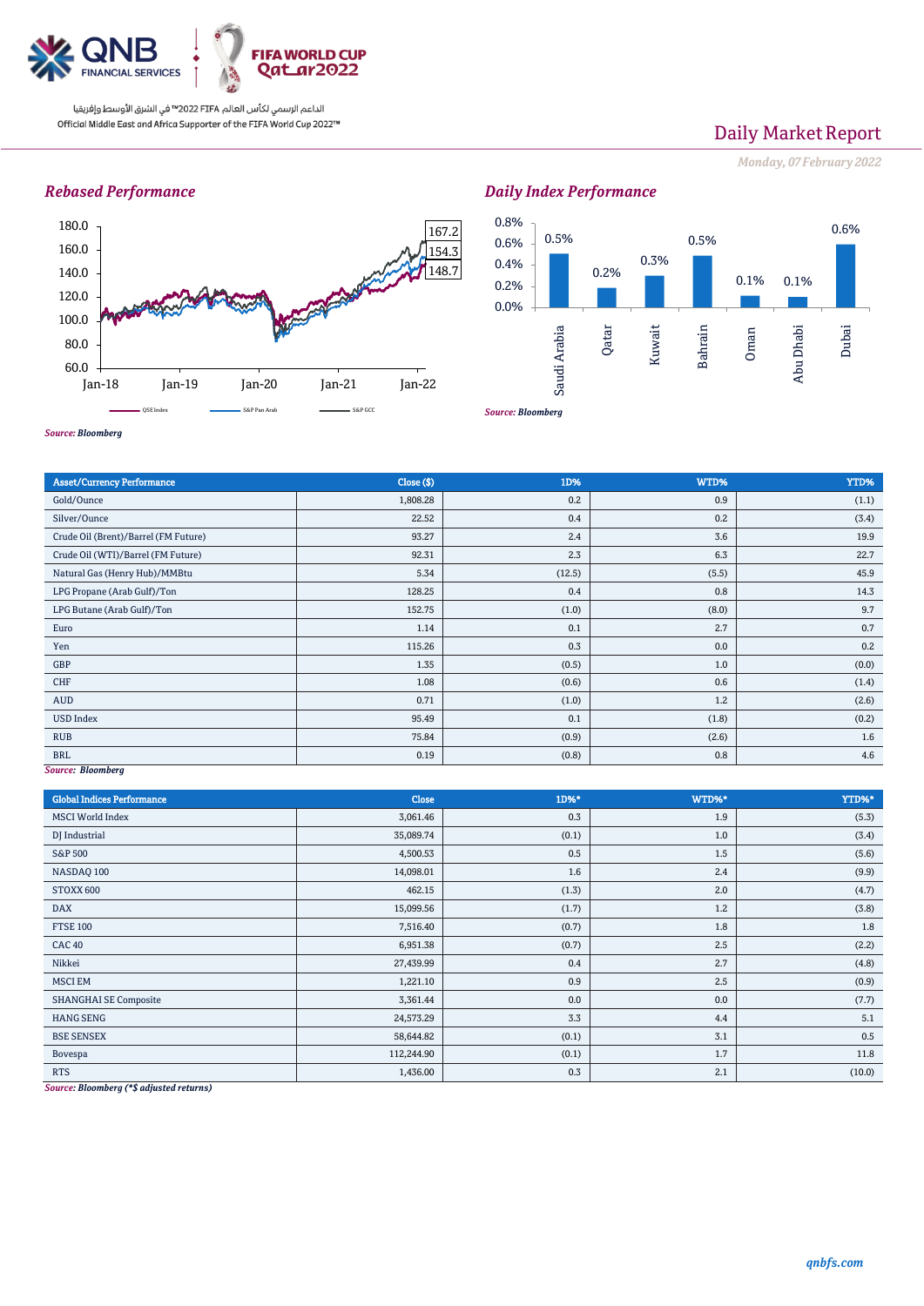

الداعم الرسمي لكأس العالم PIFA™ في الشرق الأوسط وإفريقيا Official Middle East and Africa Supporter of the FIFA World Cup 2022™

## Daily Market Report

*Monday, 07February 2022*

## *Rebased Performance*



*Daily Index Performance*



*Source: Bloomberg*

| <b>Asset/Currency Performance</b>    | Close ( \$) | 1D%    | WTD%  | YTD%  |  |  |
|--------------------------------------|-------------|--------|-------|-------|--|--|
| Gold/Ounce                           | 1,808.28    | 0.2    | 0.9   | (1.1) |  |  |
| Silver/Ounce                         | 22.52       | 0.4    | 0.2   | (3.4) |  |  |
| Crude Oil (Brent)/Barrel (FM Future) | 93.27       | 2.4    | 3.6   | 19.9  |  |  |
| Crude Oil (WTI)/Barrel (FM Future)   | 92.31       | 2.3    | 6.3   | 22.7  |  |  |
| Natural Gas (Henry Hub)/MMBtu        | 5.34        | (12.5) | (5.5) | 45.9  |  |  |
| LPG Propane (Arab Gulf)/Ton          | 128.25      | 0.4    | 0.8   | 14.3  |  |  |
| LPG Butane (Arab Gulf)/Ton           | 152.75      | (1.0)  | (8.0) | 9.7   |  |  |
| Euro                                 | 1.14        | 0.1    | 2.7   | 0.7   |  |  |
| Yen                                  | 115.26      | 0.3    | 0.0   | 0.2   |  |  |
| GBP                                  | 1.35        | (0.5)  | 1.0   | (0.0) |  |  |
| <b>CHF</b>                           | 1.08        | (0.6)  | 0.6   | (1.4) |  |  |
| AUD                                  | 0.71        | (1.0)  | 1.2   | (2.6) |  |  |
| <b>USD Index</b>                     | 95.49       | 0.1    | (1.8) | (0.2) |  |  |
| <b>RUB</b>                           | 75.84       | (0.9)  | (2.6) | 1.6   |  |  |
| <b>BRL</b>                           | 0.19        | (0.8)  | 0.8   | 4.6   |  |  |
| Source: Bloomberg                    |             |        |       |       |  |  |

*Source: Bloomberg*

| <b>Global Indices Performance</b> | Close      | 1D%*  | WTD%* | YTD%*  |
|-----------------------------------|------------|-------|-------|--------|
| <b>MSCI World Index</b>           | 3,061.46   | 0.3   | 1.9   | (5.3)  |
| DJ Industrial                     | 35,089.74  | (0.1) | 1.0   | (3.4)  |
| <b>S&amp;P 500</b>                | 4,500.53   | 0.5   | 1.5   | (5.6)  |
| NASDAQ 100                        | 14,098.01  | 1.6   | 2.4   | (9.9)  |
| STOXX 600                         | 462.15     | (1.3) | 2.0   | (4.7)  |
| <b>DAX</b>                        | 15,099.56  | (1.7) | 1.2   | (3.8)  |
| <b>FTSE 100</b>                   | 7,516.40   | (0.7) | 1.8   | 1.8    |
| CAC <sub>40</sub>                 | 6,951.38   | (0.7) | 2.5   | (2.2)  |
| Nikkei                            | 27,439.99  | 0.4   | 2.7   | (4.8)  |
| <b>MSCI EM</b>                    | 1,221.10   | 0.9   | 2.5   | (0.9)  |
| <b>SHANGHAI SE Composite</b>      | 3,361.44   | 0.0   | 0.0   | (7.7)  |
| <b>HANG SENG</b>                  | 24,573.29  | 3.3   | 4.4   | 5.1    |
| <b>BSE SENSEX</b>                 | 58,644.82  | (0.1) | 3.1   | 0.5    |
| Bovespa                           | 112,244.90 | (0.1) | 1.7   | 11.8   |
| <b>RTS</b>                        | 1,436.00   | 0.3   | 2.1   | (10.0) |

*Source: Bloomberg (\*\$ adjusted returns)*